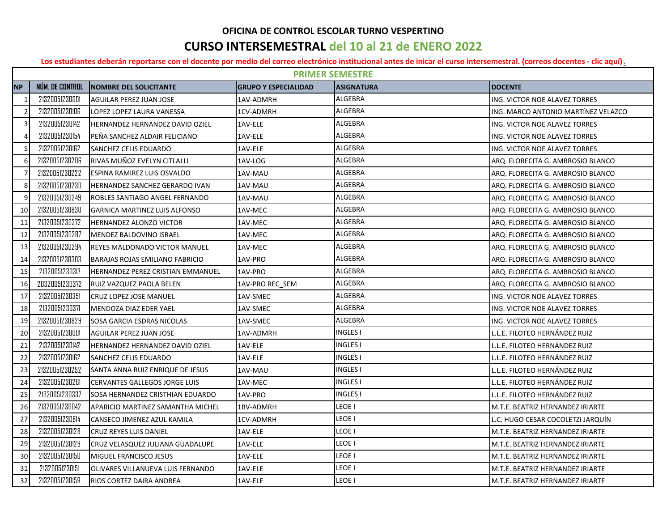## **OFICINA DE CONTROL ESCOLAR TURNO VESPERTINO**

## **CURSO INTERSEMESTRAL del 10 al 21 de ENERO 2022**

**[Los estudiantes deberán reportarse con el docente por medio del correo electrónico institucional antes de inicar el curso intersemestral. \(correos docentes - clic aquí\).](http://cbtis123.edu.mx/pdf/correos_docentes_b6.pdf)**

|                | <b>PRIMER SEMESTRE</b> |                                        |                             |                   |                                     |  |  |
|----------------|------------------------|----------------------------------------|-----------------------------|-------------------|-------------------------------------|--|--|
| <b>NP</b>      | NÚM. DE CONTROL        | <b>NOMBRE DEL SOLICITANTE</b>          | <b>GRUPO Y ESPECIALIDAD</b> | <b>ASIGNATURA</b> | <b>DOCENTE</b>                      |  |  |
| $\mathbf{1}$   | 21320051230001         | <b>AGUILAR PEREZ JUAN JOSE</b>         | 1AV-ADMRH                   | ALGEBRA           | ING. VICTOR NOE ALAVEZ TORRES       |  |  |
| $\overline{2}$ | 21320051230106         | LOPEZ LOPEZ LAURA VANESSA              | 1CV-ADMRH                   | <b>ALGEBRA</b>    | ING. MARCO ANTONIO MARTÍNEZ VELAZCO |  |  |
| 3              | 21320051230142         | <b>HERNANDEZ HERNANDEZ DAVID OZIEL</b> | 1AV-ELE                     | ALGEBRA           | ING. VICTOR NOE ALAVEZ TORRES       |  |  |
| 4              | 21320051230154         | PEÑA SANCHEZ ALDAIR FELICIANO          | 1AV-ELE                     | <b>ALGEBRA</b>    | ING. VICTOR NOE ALAVEZ TORRES       |  |  |
| .5             | 21320051230162         | SANCHEZ CELIS EDUARDO                  | 1AV-ELE                     | ALGEBRA           | ING. VICTOR NOE ALAVEZ TORRES       |  |  |
| 6              | 21320051230206         | IRIVAS MUÑOZ EVELYN CITLALLI           | 1AV-LOG                     | ALGEBRA           | ARO. FLORECITA G. AMBROSIO BLANCO   |  |  |
| $\overline{7}$ | 21320051230222         | <b>IESPINA RAMIREZ LUIS OSVALDO</b>    | 1AV-MAU                     | ALGEBRA           | ARQ. FLORECITA G. AMBROSIO BLANCO   |  |  |
| 8              | 21320051230230         | HERNANDEZ SANCHEZ GERARDO IVAN         | 1AV-MAU                     | ALGEBRA           | ARO. FLORECITA G. AMBROSIO BLANCO   |  |  |
| 9              | 21320051230249         | ROBLES SANTIAGO ANGEL FERNANDO         | 1AV-MAU                     | <b>ALGEBRA</b>    | ARQ. FLORECITA G. AMBROSIO BLANCO   |  |  |
| 10             | 21320051230830         | <b>GARNICA MARTINEZ LUIS ALFONSO</b>   | 1AV-MEC                     | ALGEBRA           | ARQ. FLORECITA G. AMBROSIO BLANCO   |  |  |
| 11             | 21320051230272         | <b>HERNANDEZ ALONZO VICTOR</b>         | 1AV-MEC                     | ALGEBRA           | ARQ. FLORECITA G. AMBROSIO BLANCO   |  |  |
| 12             | 21320051230287         | MENDEZ BALDOVINO ISRAEL                | 1AV-MEC                     | ALGEBRA           | ARQ. FLORECITA G. AMBROSIO BLANCO   |  |  |
| 13             | 21320051230294         | IREYES MALDONADO VICTOR MANUEL         | 1AV-MEC                     | ALGEBRA           | ARO. FLORECITA G. AMBROSIO BLANCO   |  |  |
| 14             | 21320051230303         | <b>BARAJAS ROJAS EMILIANO FABRICIO</b> | 1AV-PRO                     | <b>ALGEBRA</b>    | ARQ. FLORECITA G. AMBROSIO BLANCO   |  |  |
| 15             | 21320051230317         | HERNANDEZ PEREZ CRISTIAN EMMANUEL      | 1AV-PRO                     | ALGEBRA           | ARQ. FLORECITA G. AMBROSIO BLANCO   |  |  |
| 16             | 20320051230372         | RUIZ VAZQUEZ PAOLA BELEN               | 1AV-PRO REC_SEM             | ALGEBRA           | ARQ. FLORECITA G. AMBROSIO BLANCO   |  |  |
| 17             | 21320051230351         | <b>CRUZ LOPEZ JOSE MANUEL</b>          | 1AV-SMEC                    | ALGEBRA           | ING. VICTOR NOE ALAVEZ TORRES       |  |  |
| 18             | 21320051230371         | <b>I</b> MENDOZA DIAZ EDER YAEL        | 1AV-SMEC                    | <b>ALGEBRA</b>    | ING. VICTOR NOE ALAVEZ TORRES       |  |  |
| 19             | 21320051230829         | SOSA GARCIA ESDRAS NICOLAS             | 1AV-SMEC                    | <b>ALGEBRA</b>    | ING. VICTOR NOE ALAVEZ TORRES       |  |  |
| 20             | 21320051230001         | <b>AGUILAR PEREZ JUAN JOSE</b>         | 1AV-ADMRH                   | <b>INGLES I</b>   | L.L.E. FILOTEO HERNÁNDEZ RUIZ       |  |  |
| 21             | 21320051230142         | <b>HERNANDEZ HERNANDEZ DAVID OZIEL</b> | 1AV-ELE                     | <b>INGLES I</b>   | L.L.E. FILOTEO HERNÁNDEZ RUIZ       |  |  |
| 22             | 21320051230162         | <b>SANCHEZ CELIS EDUARDO</b>           | 1AV-ELE                     | <b>INGLES I</b>   | L.L.E. FILOTEO HERNÁNDEZ RUIZ       |  |  |
| 23             | 21320051230252         | SANTA ANNA RUIZ ENRIQUE DE JESUS       | 1AV-MAU                     | <b>INGLES I</b>   | L.L.E. FILOTEO HERNÁNDEZ RUIZ       |  |  |
| 24             | 21320051230261         | <b>CERVANTES GALLEGOS JORGE LUIS</b>   | 1AV-MEC                     | <b>INGLES I</b>   | L.L.E. FILOTEO HERNÁNDEZ RUIZ       |  |  |
| 25             | 21320051230337         | SOSA HERNANDEZ CRISTHIAN EDUARDO       | 1AV-PRO                     | <b>INGLES I</b>   | L.L.E. FILOTEO HERNÁNDEZ RUIZ       |  |  |
| 26             | 21320051230042         | APARICIO MARTINEZ SAMANTHA MICHEL      | 1BV-ADMRH                   | LEOE I            | M.T.E. BEATRIZ HERNANDEZ IRIARTE    |  |  |
| 27             | 21320051230814         | CANSECO JIMENEZ AZUL KAMILA            | 1CV-ADMRH                   | LEOE I            | L.C. HUGO CESAR COCOLETZI JARQUÍN   |  |  |
| 28             | 21320051230128         | <b>CRUZ REYES LUIS DANIEL</b>          | 1AV-ELE                     | LEOE I            | M.T.E. BEATRIZ HERNANDEZ IRIARTE    |  |  |
| 29             | 21320051230129         | CRUZ VELASQUEZ JULIANA GUADALUPE       | 1AV-ELE                     | LEOE I            | M.T.E. BEATRIZ HERNANDEZ IRIARTE    |  |  |
| 30             | 21320051230150         | MIGUEL FRANCISCO JESUS                 | 1AV-ELE                     | LEOE I            | M.T.E. BEATRIZ HERNANDEZ IRIARTE    |  |  |
| 31             | 21320051230151         | OLIVARES VILLANUEVA LUIS FERNANDO      | 1AV-ELE                     | LEOE I            | M.T.E. BEATRIZ HERNANDEZ IRIARTE    |  |  |
| 32             | 21320051230159         | <b>RIOS CORTEZ DAIRA ANDREA</b>        | 1AV-ELE                     | LEOE I            | M.T.E. BEATRIZ HERNANDEZ IRIARTE    |  |  |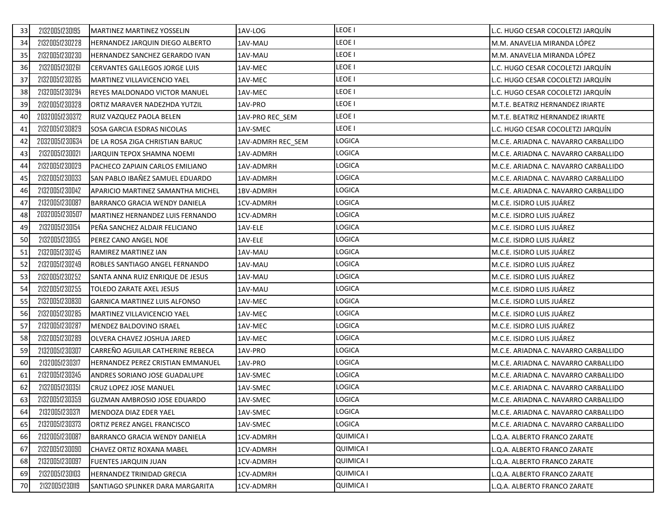| 21320051230195<br>33 | MARTINEZ MARTINEZ YOSSELIN            | 1AV-LOG           | LEOE I        | L.C. HUGO CESAR COCOLETZI JARQUİN    |
|----------------------|---------------------------------------|-------------------|---------------|--------------------------------------|
| 21320051230228<br>34 | HERNANDEZ JARQUIN DIEGO ALBERTO       | 1AV-MAU           | LEOE I        | M.M. ANAVELIA MIRANDA LÓPEZ          |
| 21320051230230<br>35 | <b>HERNANDEZ SANCHEZ GERARDO IVAN</b> | 1AV-MAU           | LEOE I        | M.M. ANAVELIA MIRANDA LÓPEZ          |
| 21320051230261<br>36 | <b>CERVANTES GALLEGOS JORGE LUIS</b>  | 1AV-MEC           | LEOE I        | L.C. HUGO CESAR COCOLETZI JARQUÍN    |
| 21320051230285<br>37 | MARTINEZ VILLAVICENCIO YAEL           | 1AV-MEC           | LEOE I        | L.C. HUGO CESAR COCOLETZI JARQUÍN    |
| 21320051230294<br>38 | REYES MALDONADO VICTOR MANUEL         | 1AV-MEC           | LEOE I        | C. HUGO CESAR COCOLETZI JARQUİN      |
| 21320051230328<br>39 | ORTIZ MARAVER NADEZHDA YUTZIL         | 1AV-PRO           | LEOE I        | M.T.E. BEATRIZ HERNANDEZ IRIARTE     |
| 20320051230372<br>40 | RUIZ VAZQUEZ PAOLA BELEN              | 1AV-PRO REC SEM   | LEOE I        | M.T.E. BEATRIZ HERNANDEZ IRIARTE     |
| 21320051230829<br>41 | SOSA GARCIA ESDRAS NICOLAS            | 1AV-SMEC          | LEOE I        | L.C. HUGO CESAR COCOLETZI JARQUÍN    |
| 20320051230634<br>42 | DE LA ROSA ZIGA CHRISTIAN BARUC       | 1AV-ADMRH REC SEM | <b>LOGICA</b> | M.C.E. ARIADNA C. NAVARRO CARBALLIDO |
| 21320051230021<br>43 | JARQUIN TEPOX SHAMNA NOEMI            | 1AV-ADMRH         | <b>LOGICA</b> | M.C.E. ARIADNA C. NAVARRO CARBALLIDO |
| 21320051230029<br>44 | PACHECO ZAPIAIN CARLOS EMILIANO       | 1AV-ADMRH         | LOGICA        | M.C.E. ARIADNA C. NAVARRO CARBALLIDO |
| 21320051230033<br>45 | SAN PABLO IBAÑEZ SAMUEL EDUARDO       | 1AV-ADMRH         | LOGICA        | M.C.E. ARIADNA C. NAVARRO CARBALLIDO |
| 21320051230042<br>46 | APARICIO MARTINEZ SAMANTHA MICHEL     | 1BV-ADMRH         | <b>LOGICA</b> | M.C.E. ARIADNA C. NAVARRO CARBALLIDO |
| 21320051230087<br>47 | BARRANCO GRACIA WENDY DANIELA         | 1CV-ADMRH         | LOGICA        | M.C.E. ISIDRO LUIS JUÁREZ            |
| 20320051230507<br>48 | MARTINEZ HERNANDEZ LUIS FERNANDO      | 1CV-ADMRH         | LOGICA        | M.C.E. ISIDRO LUIS JUÁREZ            |
| 21320051230154<br>49 | PEÑA SANCHEZ ALDAIR FELICIANO         | 1AV-ELE           | <b>LOGICA</b> | M.C.E. ISIDRO LUIS JUÁREZ            |
| 21320051230155<br>50 | PEREZ CANO ANGEL NOE                  | 1AV-ELE           | LOGICA        | M.C.E. ISIDRO LUIS JUÁREZ            |
| 21320051230245<br>51 | RAMIREZ MARTINEZ IAN                  | 1AV-MAU           | LOGICA        | M.C.E. ISIDRO LUIS JUÁREZ            |
| 21320051230249<br>52 | ROBLES SANTIAGO ANGEL FERNANDO        | 1AV-MAU           | LOGICA        | M.C.E. ISIDRO LUIS JUAREZ            |
| 21320051230252<br>53 | SANTA ANNA RUIZ ENRIQUE DE JESUS      | 1AV-MAU           | LOGICA        | M.C.E. ISIDRO LUIS JUÁREZ            |
| 21320051230255<br>54 | TOLEDO ZARATE AXEL JESUS              | 1AV-MAU           | <b>LOGICA</b> | M.C.E. ISIDRO LUIS JUÁREZ            |
| 21320051230830<br>55 | <b>GARNICA MARTINEZ LUIS ALFONSO</b>  | 1AV-MEC           | LOGICA        | M.C.E. ISIDRO LUIS JUÁREZ            |
| 21320051230285<br>56 | MARTINEZ VILLAVICENCIO YAEL           | 1AV-MEC           | LOGICA        | M.C.E. ISIDRO LUIS JUÁREZ            |
| 21320051230287<br>57 | MENDEZ BALDOVINO ISRAEL               | 1AV-MEC           | LOGICA        | M.C.E. ISIDRO LUIS JUÁREZ            |
| 21320051230289<br>58 | OLVERA CHAVEZ JOSHUA JARED            | 1AV-MEC           | <b>LOGICA</b> | M.C.E. ISIDRO LUIS JUÁREZ            |
| 21320051230307<br>59 | CARREÑO AGUILAR CATHERINE REBECA      | 1AV-PRO           | LOGICA        | M.C.E. ARIADNA C. NAVARRO CARBALLIDO |
| 21320051230317<br>60 | HERNANDEZ PEREZ CRISTIAN EMMANUEL     | 1AV-PRO           | LOGICA        | M.C.E. ARIADNA C. NAVARRO CARBALLIDO |
| 21320051230345<br>61 | ANDRES SORIANO JOSE GUADALUPE         | 1AV-SMEC          | LOGICA        | M.C.E. ARIADNA C. NAVARRO CARBALLIDO |
| 62<br>21320051230351 | <b>CRUZ LOPEZ JOSE MANUEL</b>         | 1AV-SMEC          | <b>LOGICA</b> | M.C.E. ARIADNA C. NAVARRO CARBALLIDO |
| 21320051230359<br>63 | GUZMAN AMBROSIO JOSE EDUARDO          | 1AV-SMEC          | LOGICA        | M.C.E. ARIADNA C. NAVARRO CARBALLIDO |
| 21320051230371<br>64 | MENDOZA DIAZ EDER YAEL                | 1AV-SMEC          | LOGICA        | M.C.E. ARIADNA C. NAVARRO CARBALLIDO |
| 21320051230373<br>65 | ORTIZ PEREZ ANGEL FRANCISCO           | 1AV-SMEC          | LOGICA        | M.C.E. ARIADNA C. NAVARRO CARBALLIDO |
| 21320051230087<br>66 | BARRANCO GRACIA WENDY DANIELA         | 1CV-ADMRH         | QUIMICA I     | Q.A. ALBERTO FRANCO ZARATE           |
| 21320051230090<br>67 | CHAVEZ ORTIZ ROXANA MABEL             | 1CV-ADMRH         | QUIMICA I     | L.Q.A. ALBERTO FRANCO ZARATE         |
| 21320051230097<br>68 | <b>FUENTES JARQUIN JUAN</b>           | 1CV-ADMRH         | QUIMICA I     | Q.A. ALBERTO FRANCO ZARATE           |
| 21320051230103<br>69 | HERNANDEZ TRINIDAD GRECIA             | 1CV-ADMRH         | QUIMICA I     | L.Q.A. ALBERTO FRANCO ZARATE         |
| 21320051230119<br>70 | SANTIAGO SPLINKER DARA MARGARITA      | 1CV-ADMRH         | QUIMICA I     | L.Q.A. ALBERTO FRANCO ZARATE         |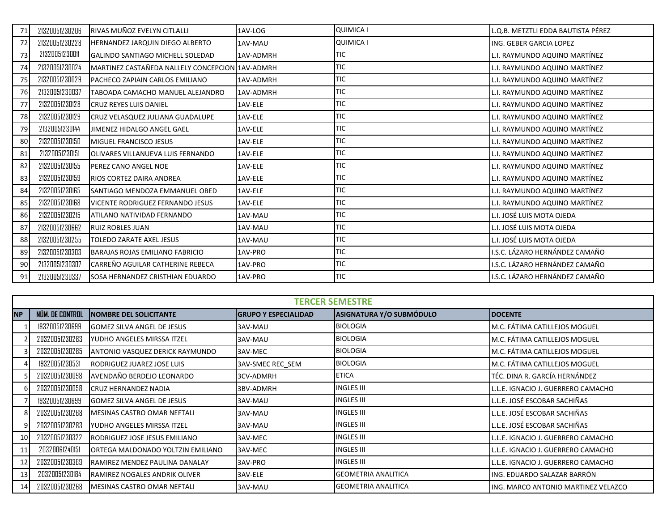| 71 | 21320051230206 | RIVAS MUÑOZ EVELYN CITLALLI                     | 1AV-LOG   | QUIMICA I        | .Q.B. METZTLI EDDA BAUTISTA PÉREZ |
|----|----------------|-------------------------------------------------|-----------|------------------|-----------------------------------|
| 72 | 21320051230228 | <b>HERNANDEZ JARQUIN DIEGO ALBERTO</b>          | 1AV-MAU   | <b>QUIMICA I</b> | ING. GEBER GARCIA LOPEZ           |
| 73 | 21320051230011 | <b>IGALINDO SANTIAGO MICHELL SOLEDAD</b>        | 1AV-ADMRH | <b>TIC</b>       | L.I. RAYMUNDO AQUINO MARTÍNEZ     |
| 74 | 21320051230024 | MARTINEZ CASTAÑEDA NALLELY CONCEPCION 1AV-ADMRH |           | TIC              | L.I. RAYMUNDO AQUINO MARTÍNEZ     |
| 75 | 21320051230029 | PACHECO ZAPIAIN CARLOS EMILIANO                 | 1AV-ADMRH | <b>TIC</b>       | L.I. RAYMUNDO AQUINO MARTÍNEZ     |
| 76 | 21320051230037 | TABOADA CAMACHO MANUEL ALEJANDRO                | 1AV-ADMRH | TIC              | L.I. RAYMUNDO AQUINO MARTÍNEZ     |
| 77 | 21320051230128 | <b>CRUZ REYES LUIS DANIEL</b>                   | 1AV-ELE   | TIC              | L.I. RAYMUNDO AQUINO MARTÍNEZ     |
| 78 | 21320051230129 | CRUZ VELASQUEZ JULIANA GUADALUPE                | 1AV-ELE   | TIC              | L.I. RAYMUNDO AQUINO MARTÍNEZ     |
| 79 | 21320051230144 | <b>JIMENEZ HIDALGO ANGEL GAEL</b>               | 1AV-ELE   | <b>TIC</b>       | L.I. RAYMUNDO AQUINO MARTÍNEZ     |
| 80 | 21320051230150 | <b>MIGUEL FRANCISCO JESUS</b>                   | 1AV-ELE   | <b>TIC</b>       | L.I. RAYMUNDO AQUINO MARTÍNEZ     |
| 81 | 21320051230151 | <b>JOLIVARES VILLANUEVA LUIS FERNANDO</b>       | 1AV-ELE   | <b>TIC</b>       | L.I. RAYMUNDO AQUINO MARTÍNEZ     |
| 82 | 21320051230155 | <b>IPEREZ CANO ANGEL NOE</b>                    | 1AV-ELE   | <b>TIC</b>       | L.I. RAYMUNDO AQUINO MARTÍNEZ     |
| 83 | 21320051230159 | <b>RIOS CORTEZ DAIRA ANDREA</b>                 | 1AV-ELE   | <b>TIC</b>       | L.I. RAYMUNDO AQUINO MARTÍNEZ     |
| 84 | 21320051230165 | <b>SANTIAGO MENDOZA EMMANUEL OBED</b>           | 1AV-ELE   | <b>TIC</b>       | L.I. RAYMUNDO AQUINO MARTÍNEZ     |
| 85 | 21320051230168 | <b>IVICENTE RODRIGUEZ FERNANDO JESUS</b>        | 1AV-ELE   | <b>TIC</b>       | L.I. RAYMUNDO AQUINO MARTÍNEZ     |
| 86 | 21320051230215 | ATILANO NATIVIDAD FERNANDO                      | 1AV-MAU   | <b>TIC</b>       | L.I. JOSÉ LUIS MOTA OJEDA         |
| 87 | 21320051230662 | <b>RUIZ ROBLES JUAN</b>                         | 1AV-MAU   | TIC              | L.I. JOSÉ LUIS MOTA OJEDA         |
| 88 | 21320051230255 | <b>TOLEDO ZARATE AXEL JESUS</b>                 | 1AV-MAU   | <b>TIC</b>       | L.I. JOSÉ LUIS MOTA OJEDA         |
| 89 | 21320051230303 | <b>BARAJAS ROJAS EMILIANO FABRICIO</b>          | 1AV-PRO   | <b>TIC</b>       | I.S.C. LÁZARO HERNÁNDEZ CAMAÑO    |
| 90 | 21320051230307 | <b>I</b> CARREÑO AGUILAR CATHERINE REBECA       | 1AV-PRO   | <b>TIC</b>       | I.S.C. LÁZARO HERNÁNDEZ CAMAÑO    |
| 91 | 21320051230337 | SOSA HERNANDEZ CRISTHIAN EDUARDO                | 1AV-PRO   | <b>TIC</b>       | I.S.C. LÁZARO HERNÁNDEZ CAMAÑO    |

| <b>TERCER SEMESTRE</b> |                 |                                        |                             |                                 |                                     |  |
|------------------------|-----------------|----------------------------------------|-----------------------------|---------------------------------|-------------------------------------|--|
| <b>NP</b>              | NÚM. DE CONTROL | <b>NOMBRE DEL SOLICITANTE</b>          | <b>GRUPO Y ESPECIALIDAD</b> | <b>ASIGNATURA Y/O SUBMÓDULO</b> | <b>DOCENTE</b>                      |  |
|                        | 19320051230699  | <b>GOMEZ SILVA ANGEL DE JESUS</b>      | 3AV-MAU                     | <b>BIOLOGIA</b>                 | M.C. FÁTIMA CATILLEJOS MOGUEL       |  |
|                        | 20320051230283  | YUDHO ANGELES MIRSSA ITZEL             | 3AV-MAU                     | <b>BIOLOGIA</b>                 | M.C. FÁTIMA CATILLEJOS MOGUEL       |  |
|                        | 20320051230285  | <b>ANTONIO VASQUEZ DERICK RAYMUNDO</b> | 3AV-MEC                     | <b>BIOLOGIA</b>                 | M.C. FÁTIMA CATILLEJOS MOGUEL       |  |
|                        | 19320051230531  | RODRIGUEZ JUAREZ JOSE LUIS             | 3AV-SMEC REC SEM            | <b>BIOLOGIA</b>                 | M.C. FÁTIMA CATILLEJOS MOGUEL       |  |
|                        | 20320051230098  | AVENDAÑO BERDEJO LEONARDO              | 3CV-ADMRH                   | <b>ETICA</b>                    | TÉC. DINA R. GARCÍA HERNÁNDEZ       |  |
|                        | 20320051230058  | <b>CRUZ HERNANDEZ NADIA</b>            | 3BV-ADMRH                   | <b>INGLES III</b>               | L.L.E. IGNACIO J. GUERRERO CAMACHO  |  |
|                        | 19320051230699  | <b>GOMEZ SILVA ANGEL DE JESUS</b>      | 3AV-MAU                     | <b>INGLES III</b>               | L.L.E. JOSÉ ESCOBAR SACHIÑAS        |  |
|                        | 20320051230268  | MESINAS CASTRO OMAR NEFTALI            | 3AV-MAU                     | <b>INGLES III</b>               | L.L.E. JOSÉ ESCOBAR SACHIÑAS        |  |
|                        | 20320051230283  | YUDHO ANGELES MIRSSA ITZEL             | 3AV-MAU                     | <b>INGLES III</b>               | L.L.E. JOSÉ ESCOBAR SACHIÑAS        |  |
| 10                     | 20320051230322  | RODRIGUEZ JOSE JESUS EMILIANO          | 3AV-MEC                     | <b>INGLES III</b>               | L.L.E. IGNACIO J. GUERRERO CAMACHO  |  |
| 11                     | 20320061240151  | ORTEGA MALDONADO YOLTZIN EMILIANO      | 3AV-MEC                     | <b>INGLES III</b>               | L.L.E. IGNACIO J. GUERRERO CAMACHO  |  |
| 12                     | 20320051230369  | RAMIREZ MENDEZ PAULINA DANALAY         | 3AV-PRO                     | <b>INGLES III</b>               | L.L.E. IGNACIO J. GUERRERO CAMACHO  |  |
| 13                     | 20320051230184  | RAMIREZ NOGALES ANDRIK OLIVER          | 3AV-ELE                     | <b>IGEOMETRIA ANALITICA</b>     | ING. EDUARDO SALAZAR BARRÓN         |  |
| 14                     | 20320051230268  | MESINAS CASTRO OMAR NEFTALI            | 3AV-MAU                     | <b>IGEOMETRIA ANALITICA</b>     | ING. MARCO ANTONIO MARTINEZ VELAZCO |  |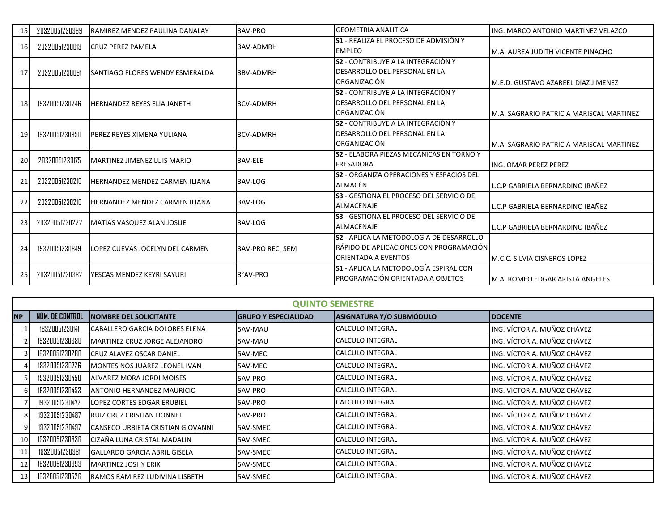| 15 | 20320051230369 | <b>RAMIREZ MENDEZ PAULINA DANALAY</b>   | 3AV-PRO                | <b>GEOMETRIA ANALITICA</b>                      | IING. MARCO ANTONIO MARTINEZ VELAZCO             |
|----|----------------|-----------------------------------------|------------------------|-------------------------------------------------|--------------------------------------------------|
|    |                |                                         |                        | <b>S1</b> - REALIZA EL PROCESO DE ADMISIÓN Y    |                                                  |
| 16 | 20320051230013 | <b>CRUZ PEREZ PAMELA</b>                | 3AV-ADMRH              | <b>EMPLEO</b>                                   | M.A. AUREA JUDITH VICENTE PINACHO                |
|    |                |                                         |                        | <b>S2 - CONTRIBUYE A LA INTEGRACIÓN Y</b>       |                                                  |
| 17 | 20320051230091 | <b>ISANTIAGO FLORES WENDY ESMERALDA</b> | 3BV-ADMRH              | DESARROLLO DEL PERSONAL EN LA                   |                                                  |
|    |                |                                         |                        | ORGANIZACIÓN                                    | <b>I</b> M.E.D. GUSTAVO AZAREEL DIAZ JIMENEZ     |
|    |                |                                         |                        | <b>S2</b> - CONTRIBUYE A LA INTEGRACIÓN Y       |                                                  |
| 18 | 19320051230246 | <b>HERNANDEZ REYES ELIA JANETH</b>      | 3CV-ADMRH              | DESARROLLO DEL PERSONAL EN LA                   |                                                  |
|    |                |                                         |                        | ORGANIZACIÓN                                    | M.A. SAGRARIO PATRICIA MARISCAL MARTINEZ         |
|    |                |                                         |                        | <b>S2</b> - CONTRIBUYE A LA INTEGRACIÓN Y       |                                                  |
| 19 | 19320051230850 | <b>IPEREZ REYES XIMENA YULIANA</b>      | <b>3CV-ADMRH</b>       | DESARROLLO DEL PERSONAL EN LA                   |                                                  |
|    |                |                                         |                        | ORGANIZACIÓN                                    | <b>IM.A. SAGRARIO PATRICIA MARISCAL MARTINEZ</b> |
|    |                |                                         |                        | <b>S2</b> - ELABORA PIEZAS MECÁNICAS EN TORNO Y |                                                  |
| 20 | 20320051230175 | <b>IMARTINEZ JIMENEZ LUIS MARIO</b>     | 3AV-ELE                | <b>FRESADORA</b>                                | <b>ING. OMAR PEREZ PEREZ</b>                     |
|    |                |                                         |                        | <b>S2</b> - ORGANIZA OPERACIONES Y ESPACIOS DEL |                                                  |
| 21 | 20320051230210 | <b>HERNANDEZ MENDEZ CARMEN ILIANA</b>   | 3AV-LOG                | ALMACÉN                                         | L.C.P GABRIELA BERNARDINO IBAÑEZ                 |
|    |                |                                         |                        | <b>S3</b> - GESTIONA EL PROCESO DEL SERVICIO DE |                                                  |
| 22 | 20320051230210 | <b>HERNANDEZ MENDEZ CARMEN ILIANA</b>   | 3AV-LOG                | <b>ALMACENAJE</b>                               | L.C.P GABRIELA BERNARDINO IBAÑEZ                 |
|    |                |                                         |                        | <b>S3</b> - GESTIONA EL PROCESO DEL SERVICIO DE |                                                  |
| 23 | 20320051230222 | MATIAS VASQUEZ ALAN JOSUE               | 3AV-LOG                | ALMACENAJE                                      | L.C.P GABRIELA BERNARDINO IBAÑEZ                 |
|    |                |                                         |                        | S2 - APLICA LA METODOLOGÍA DE DESARROLLO        |                                                  |
| 24 | 19320051230849 | <b>LOPEZ CUEVAS JOCELYN DEL CARMEN</b>  | <b>3AV-PRO REC SEM</b> | RÁPIDO DE APLICACIONES CON PROGRAMACIÓN         |                                                  |
|    |                |                                         |                        | <b>ORIENTADA A EVENTOS</b>                      | <b>IM.C.C. SILVIA CISNEROS LOPEZ</b>             |
|    |                |                                         |                        | <b>IS1 - APLICA LA METODOLOGÍA ESPIRAL CON</b>  |                                                  |
| 25 | 20320051230382 | <b>IYESCAS MENDEZ KEYRI SAYURI</b>      | 3°AV-PRO               | PROGRAMACIÓN ORIENTADA A OBJETOS                | M.A. ROMEO EDGAR ARISTA ANGELES                  |

|           | <b>QUINTO SEMESTRE</b> |                                       |                             |                          |                             |  |  |
|-----------|------------------------|---------------------------------------|-----------------------------|--------------------------|-----------------------------|--|--|
| <b>NP</b> | NÚM. DE CONTROL        | <b>NOMBRE DEL SOLICITANTE</b>         | <b>GRUPO Y ESPECIALIDAD</b> | ASIGNATURA Y/O SUBMÓDULO | <b>DOCENTE</b>              |  |  |
|           | 18320051230141         | CABALLERO GARCIA DOLORES ELENA        | 5AV-MAU                     | <b>CALCULO INTEGRAL</b>  | ING. VÍCTOR A. MUÑOZ CHÁVEZ |  |  |
|           | 19320051230380         | MARTINEZ CRUZ JORGE ALEJANDRO         | 5AV-MAU                     | CALCULO INTEGRAL         | ING. VÍCTOR A. MUÑOZ CHÁVEZ |  |  |
|           | 18320051230280         | <b>CRUZ ALAVEZ OSCAR DANIEL</b>       | 5AV-MEC                     | CALCULO INTEGRAL         | ING. VÍCTOR A. MUÑOZ CHÁVEZ |  |  |
|           | 18320051230726         | MONTESINOS JUAREZ LEONEL IVAN         | 5AV-MEC                     | CALCULO INTEGRAL         | ING. VÍCTOR A. MUÑOZ CHÁVEZ |  |  |
|           | 19320051230450         | ALVAREZ MORA JORDI MOISES             | 5AV-PRO                     | CALCULO INTEGRAL         | ING. VÍCTOR A. MUÑOZ CHÁVEZ |  |  |
|           | 19320051230453         | IANTONIO HERNANDEZ MAURICIO           | 5AV-PRO                     | CALCULO INTEGRAL         | ING. VÍCTOR A. MUÑOZ CHÁVEZ |  |  |
|           | 19320051230472         | LOPEZ CORTES EDGAR ERUBIEL            | 5AV-PRO                     | CALCULO INTEGRAL         | ING. VÍCTOR A. MUÑOZ CHÁVEZ |  |  |
|           | 19320051230487         | RUIZ CRUZ CRISTIAN DONNET             | 5AV-PRO                     | CALCULO INTEGRAL         | ING. VÍCTOR A. MUÑOZ CHÁVEZ |  |  |
| 9         | 19320051230497         | CANSECO URBIETA CRISTIAN GIOVANNI     | 5AV-SMEC                    | <b>CALCULO INTEGRAL</b>  | ING. VÍCTOR A. MUÑOZ CHÁVEZ |  |  |
| <b>10</b> | 19320051230836         | CIZAÑA LUNA CRISTAL MADALIN           | 5AV-SMEC                    | CALCULO INTEGRAL         | ING. VÍCTOR A. MUÑOZ CHÁVEZ |  |  |
| 11        | 18320051230381         | <b>I</b> GALLARDO GARCIA ABRIL GISELA | 5AV-SMEC                    | <b>CALCULO INTEGRAL</b>  | ING. VÍCTOR A. MUÑOZ CHÁVEZ |  |  |
| 12        | 18320051230393         | MARTINEZ JOSHY ERIK                   | 5AV-SMEC                    | CALCULO INTEGRAL         | ING. VÍCTOR A. MUÑOZ CHÁVEZ |  |  |
| 13        | 19320051230526         | <b>RAMOS RAMIREZ LUDIVINA LISBETH</b> | 5AV-SMEC                    | <b>CALCULO INTEGRAL</b>  | ING. VÍCTOR A. MUÑOZ CHÁVEZ |  |  |